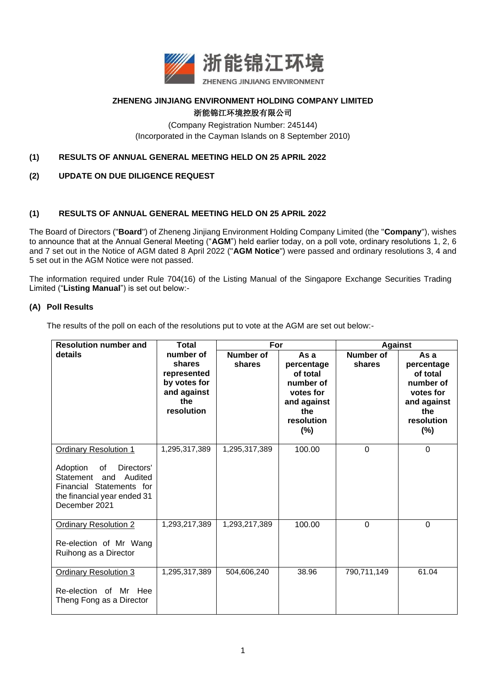

### **ZHENENG JINJIANG ENVIRONMENT HOLDING COMPANY LIMITED** 浙能锦江环境控股有限公司

(Company Registration Number: 245144) (Incorporated in the Cayman Islands on 8 September 2010)

## **(1) RESULTS OF ANNUAL GENERAL MEETING HELD ON 25 APRIL 2022**

# **(2) UPDATE ON DUE DILIGENCE REQUEST**

## **(1) RESULTS OF ANNUAL GENERAL MEETING HELD ON 25 APRIL 2022**

The Board of Directors ("**Board**") of Zheneng Jinjiang Environment Holding Company Limited (the "**Company**"), wishes to announce that at the Annual General Meeting ("**AGM**") held earlier today, on a poll vote, ordinary resolutions 1, 2, 6 and 7 set out in the Notice of AGM dated 8 April 2022 ("**AGM Notice**") were passed and ordinary resolutions 3, 4 and 5 set out in the AGM Notice were not passed.

The information required under Rule 704(16) of the Listing Manual of the Singapore Exchange Securities Trading Limited ("**Listing Manual**") is set out below:-

#### **(A) Poll Results**

The results of the poll on each of the resolutions put to vote at the AGM are set out below:-

| <b>Resolution number and</b>                                                                                                                                         | <b>Total</b>                                                                           | For                 |                                                                                                        | <b>Against</b>      |                                                                                                         |
|----------------------------------------------------------------------------------------------------------------------------------------------------------------------|----------------------------------------------------------------------------------------|---------------------|--------------------------------------------------------------------------------------------------------|---------------------|---------------------------------------------------------------------------------------------------------|
| details                                                                                                                                                              | number of<br>shares<br>represented<br>by votes for<br>and against<br>the<br>resolution | Number of<br>shares | As a<br>percentage<br>of total<br>number of<br>votes for<br>and against<br>the<br>resolution<br>$(\%)$ | Number of<br>shares | As a<br>percentage<br>of total<br>number of<br>votes for<br>and against<br>the<br>resolution<br>$(\% )$ |
| <b>Ordinary Resolution 1</b><br>Adoption<br>of<br>Directors'<br>Statement and<br>Audited<br>Financial Statements for<br>the financial year ended 31<br>December 2021 | 1,295,317,389                                                                          | 1,295,317,389       | 100.00                                                                                                 | $\mathbf 0$         | $\Omega$                                                                                                |
| <b>Ordinary Resolution 2</b><br>Re-election of Mr Wang<br>Ruihong as a Director                                                                                      | 1,293,217,389                                                                          | 1,293,217,389       | 100.00                                                                                                 | $\Omega$            | $\Omega$                                                                                                |
| <b>Ordinary Resolution 3</b><br>Re-election of Mr Hee<br>Theng Fong as a Director                                                                                    | 1,295,317,389                                                                          | 504,606,240         | 38.96                                                                                                  | 790,711,149         | 61.04                                                                                                   |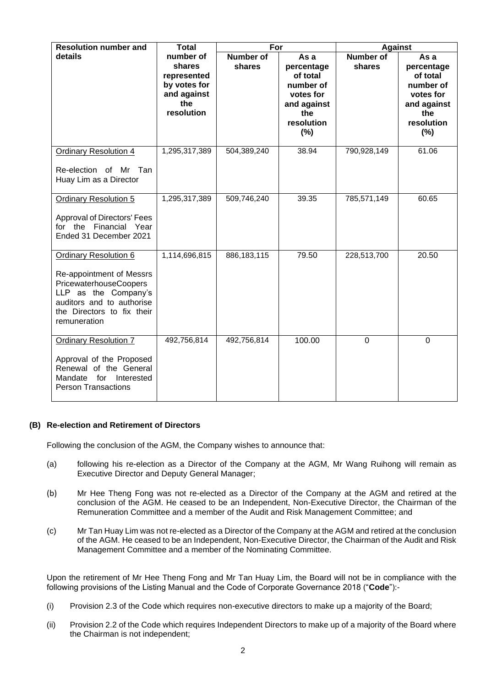| <b>Resolution number and</b>                                                                                                                                                          | <b>Total</b>                                                                           | For                        |                                                                                                     | <b>Against</b>             |                                                                                                     |
|---------------------------------------------------------------------------------------------------------------------------------------------------------------------------------------|----------------------------------------------------------------------------------------|----------------------------|-----------------------------------------------------------------------------------------------------|----------------------------|-----------------------------------------------------------------------------------------------------|
| details                                                                                                                                                                               | number of<br>shares<br>represented<br>by votes for<br>and against<br>the<br>resolution | <b>Number of</b><br>shares | As a<br>percentage<br>of total<br>number of<br>votes for<br>and against<br>the<br>resolution<br>(%) | <b>Number of</b><br>shares | As a<br>percentage<br>of total<br>number of<br>votes for<br>and against<br>the<br>resolution<br>(%) |
| <b>Ordinary Resolution 4</b><br>Re-election of Mr Tan<br>Huay Lim as a Director                                                                                                       | 1,295,317,389                                                                          | 504,389,240                | 38.94                                                                                               | 790,928,149                | 61.06                                                                                               |
| <b>Ordinary Resolution 5</b><br><b>Approval of Directors' Fees</b><br>for the Financial Year<br>Ended 31 December 2021                                                                | 1,295,317,389                                                                          | 509,746,240                | 39.35                                                                                               | 785,571,149                | 60.65                                                                                               |
| <b>Ordinary Resolution 6</b><br>Re-appointment of Messrs<br>PricewaterhouseCoopers<br>LLP as the Company's<br>auditors and to authorise<br>the Directors to fix their<br>remuneration | 1,114,696,815                                                                          | 886,183,115                | 79.50                                                                                               | 228,513,700                | 20.50                                                                                               |
| <b>Ordinary Resolution 7</b><br>Approval of the Proposed<br>Renewal of the General<br>Mandate for<br>Interested<br><b>Person Transactions</b>                                         | 492,756,814                                                                            | 492,756,814                | 100.00                                                                                              | $\mathbf 0$                | $\mathbf 0$                                                                                         |

### **(B) Re-election and Retirement of Directors**

Following the conclusion of the AGM, the Company wishes to announce that:

- (a) following his re-election as a Director of the Company at the AGM, Mr Wang Ruihong will remain as Executive Director and Deputy General Manager;
- (b) Mr Hee Theng Fong was not re-elected as a Director of the Company at the AGM and retired at the conclusion of the AGM. He ceased to be an Independent, Non-Executive Director, the Chairman of the Remuneration Committee and a member of the Audit and Risk Management Committee; and
- (c) Mr Tan Huay Lim was not re-elected as a Director of the Company at the AGM and retired at the conclusion of the AGM. He ceased to be an Independent, Non-Executive Director, the Chairman of the Audit and Risk Management Committee and a member of the Nominating Committee.

Upon the retirement of Mr Hee Theng Fong and Mr Tan Huay Lim, the Board will not be in compliance with the following provisions of the Listing Manual and the Code of Corporate Governance 2018 ("**Code**"):-

- (i) Provision 2.3 of the Code which requires non-executive directors to make up a majority of the Board;
- (ii) Provision 2.2 of the Code which requires Independent Directors to make up of a majority of the Board where the Chairman is not independent;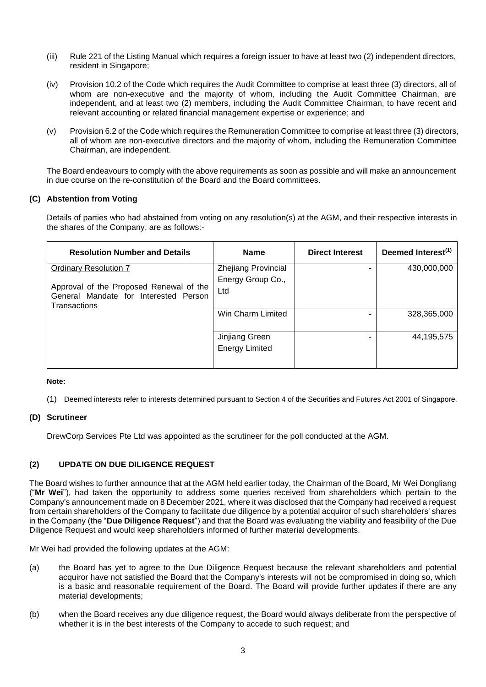- (iii) Rule 221 of the Listing Manual which requires a foreign issuer to have at least two (2) independent directors, resident in Singapore;
- (iv) Provision 10.2 of the Code which requires the Audit Committee to comprise at least three (3) directors, all of whom are non-executive and the majority of whom, including the Audit Committee Chairman, are independent, and at least two (2) members, including the Audit Committee Chairman, to have recent and relevant accounting or related financial management expertise or experience; and
- (v) Provision 6.2 of the Code which requires the Remuneration Committee to comprise at least three (3) directors, all of whom are non-executive directors and the majority of whom, including the Remuneration Committee Chairman, are independent.

The Board endeavours to comply with the above requirements as soon as possible and will make an announcement in due course on the re-constitution of the Board and the Board committees.

## **(C) Abstention from Voting**

Details of parties who had abstained from voting on any resolution(s) at the AGM, and their respective interests in the shares of the Company, are as follows:-

| <b>Resolution Number and Details</b>                                                             | <b>Name</b>                | <b>Direct Interest</b> | Deemed Interest <sup>(1)</sup> |
|--------------------------------------------------------------------------------------------------|----------------------------|------------------------|--------------------------------|
| <b>Ordinary Resolution 7</b>                                                                     | <b>Zhejiang Provincial</b> |                        | 430,000,000                    |
|                                                                                                  | Energy Group Co.,          |                        |                                |
| Approval of the Proposed Renewal of the<br>General Mandate for Interested Person<br>Transactions | Ltd                        |                        |                                |
|                                                                                                  | Win Charm Limited          |                        | 328,365,000                    |
|                                                                                                  | Jinjiang Green             |                        | 44,195,575                     |
|                                                                                                  | <b>Energy Limited</b>      |                        |                                |

#### **Note:**

(1) Deemed interests refer to interests determined pursuant to Section 4 of the Securities and Futures Act 2001 of Singapore.

### **(D) Scrutineer**

DrewCorp Services Pte Ltd was appointed as the scrutineer for the poll conducted at the AGM.

### **(2) UPDATE ON DUE DILIGENCE REQUEST**

The Board wishes to further announce that at the AGM held earlier today, the Chairman of the Board, Mr Wei Dongliang ("**Mr Wei**"), had taken the opportunity to address some queries received from shareholders which pertain to the Company's announcement made on 8 December 2021, where it was disclosed that the Company had received a request from certain shareholders of the Company to facilitate due diligence by a potential acquiror of such shareholders' shares in the Company (the "**Due Diligence Request**") and that the Board was evaluating the viability and feasibility of the Due Diligence Request and would keep shareholders informed of further material developments.

Mr Wei had provided the following updates at the AGM:

- (a) the Board has yet to agree to the Due Diligence Request because the relevant shareholders and potential acquiror have not satisfied the Board that the Company's interests will not be compromised in doing so, which is a basic and reasonable requirement of the Board. The Board will provide further updates if there are any material developments;
- (b) when the Board receives any due diligence request, the Board would always deliberate from the perspective of whether it is in the best interests of the Company to accede to such request; and